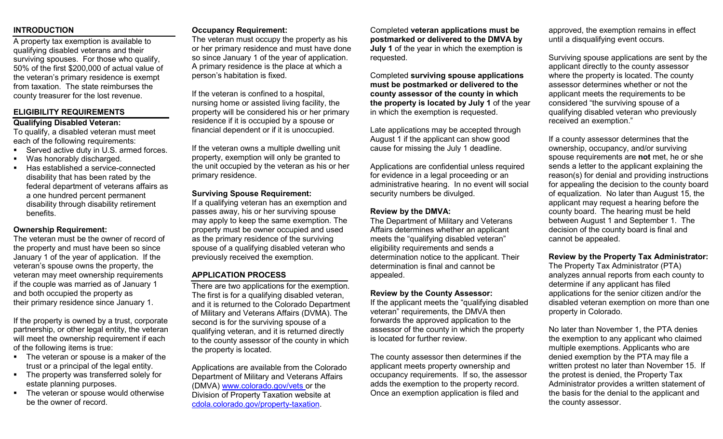### **INTRODUCTION**

A property tax exemption is available to qualifying disabled veterans and their surviving spouses. For those who qualify, 50% of the first \$200,000 of actual value of the veteran's primary residence is exempt from taxation. The state reimburses the county treasurer for the lost revenue.

## **ELIGIBILITY REQUIREMENTS**

# **Qualifying Disabled Veteran:**

To qualify, a disabled veteran must meet each of the following requirements:

- Served active duty in U.S. armed forces.
- Was honorably discharged.
- Has established a service-connected disability that has been rated by the federal department of veterans affairs as a one hundred percent permanent disability through disability retirement benefits.

#### **Ownership Requirement:**

The veteran must be the owner of record of the property and must have been so since January 1 of the year of application. If the veteran's spouse owns the property, the veteran may meet ownership requirements if the couple was married as of January 1 and both occupied the property as their primary residence since January 1.

If the property is owned by a trust, corporate partnership, or other legal entity, the veteran will meet the ownership requirement if each of the following items is true:

- The veteran or spouse is a maker of the trust or a principal of the legal entity.
- The property was transferred solely for estate planning purposes.
- The veteran or spouse would otherwise be the owner of record.

#### **Occupancy Requirement:**

The veteran must occupy the property as his or her primary residence and must have done so since January 1 of the year of application. A primary residence is the place at which a person's habitation is fixed.

If the veteran is confined to a hospital, nursing home or assisted living facility, the property will be considered his or her primary residence if it is occupied by a spouse or financial dependent or if it is unoccupied.

If the veteran owns a multiple dwelling unit property, exemption will only be granted to the unit occupied by the veteran as his or her primary residence.

#### **Surviving Spouse Requirement:**

If a qualifying veteran has an exemption and passes away, his or her surviving spouse may apply to keep the same exemption. The property must be owner occupied and used as the primary residence of the surviving spouse of a qualifying disabled veteran who previously received the exemption.

# **APPLICATION PROCESS**

There are two applications for the exemption. The first is for a qualifying disabled veteran, and it is returned to the Colorado Department of Military and Veterans Affairs (DVMA). The second is for the surviving spouse of a qualifying veteran, and it is returned directly to the county assessor of the county in which the property is located.

Applications are available from the Colorado Department of Military and Veterans Affairs (DMVA) [www.colorado.gov/vets](http://www.colorado.gov/vets) or the Division of Property Taxation website at [cdola.colorado.gov/property-taxation.](https://cdola.colorado.gov/property-taxation)

Completed **veteran applications must be postmarked or delivered to the DMVA by July 1** of the year in which the exemption is requested.

Completed **surviving spouse applications must be postmarked or delivered to the county assessor of the county in which the property is located by July 1** of the year in which the exemption is requested.

Late applications may be accepted through August 1 if the applicant can show good cause for missing the July 1 deadline.

Applications are confidential unless required for evidence in a legal proceeding or an administrative hearing. In no event will social security numbers be divulged.

#### **Review by the DMVA:**

The Department of Military and Veterans Affairs determines whether an applicant meets the "qualifying disabled veteran" eligibility requirements and sends a determination notice to the applicant. Their determination is final and cannot be appealed.

#### **Review by the County Assessor:**

If the applicant meets the "qualifying disabled veteran" requirements, the DMVA then forwards the approved application to the assessor of the county in which the property is located for further review.

The county assessor then determines if the applicant meets property ownership and occupancy requirements. If so, the assessor adds the exemption to the property record. Once an exemption application is filed and

approved, the exemption remains in effect until a disqualifying event occurs.

Surviving spouse applications are sent by the applicant directly to the county assessor where the property is located. The county assessor determines whether or not the applicant meets the requirements to be considered "the surviving spouse of a qualifying disabled veteran who previously received an exemption."

If a county assessor determines that the ownership, occupancy, and/or surviving spouse requirements are **not** met, he or she sends a letter to the applicant explaining the reason(s) for denial and providing instructions for appealing the decision to the county board of equalization. No later than August 15, the applicant may request a hearing before the county board. The hearing must be held between August 1 and September 1. The decision of the county board is final and cannot be appealed.

#### **Review by the Property Tax Administrator:**

The Property Tax Administrator (PTA) analyzes annual reports from each county to determine if any applicant has filed applications for the senior citizen and/or the disabled veteran exemption on more than one property in Colorado.

No later than November 1, the PTA denies the exemption to any applicant who claimed multiple exemptions. Applicants who are denied exemption by the PTA may file a written protest no later than November 15. If the protest is denied, the Property Tax Administrator provides a written statement of the basis for the denial to the applicant and the county assessor.